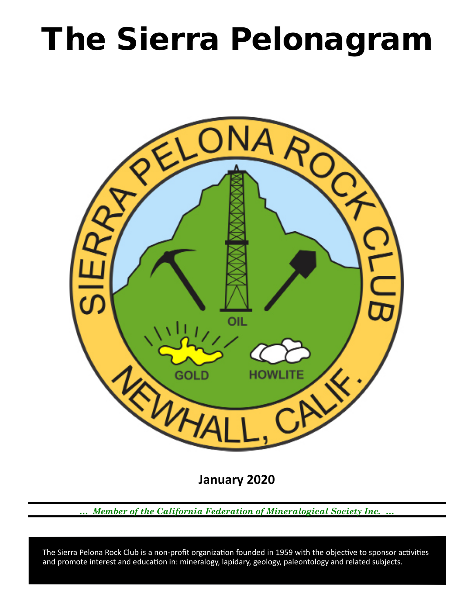# The Sierra Pelonagram



**January 2020**

*… Member of the California Federation of Mineralogical Society Inc. …*

 and promote interest and education in: mineralogy, lapidary, geology, paleontology and related subjects. The Sierra Pelona Rock Club is a non-profit organization founded in 1959 with the objective to sponsor activities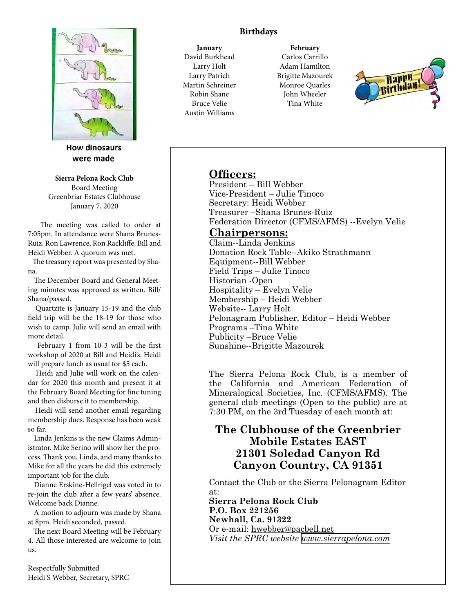

**How dinosaurs** were made

**Sierra Pelona Rock Club** Board Meeting Greenbriar Estates Clubhouse January 7, 2020

 The meeting was called to order at 7:05pm. In attendance were Shana Brunes-Ruiz, Ron Lawrence, Ron Rackliffe, Bill and Heidi Webber. A quorum was met.

 The treasury report was presented by Shana.

 The December Board and General Meeting minutes was approved as written. Bill/ Shana/passed.

 Quartzite is January 15-19 and the club field trip will be the 18-19 for those who wish to camp. Julie will send an email with more detail.

 February 1 from 10-3 will be the first workshop of 2020 at Bill and Heidi's. Heidi will prepare lunch as usual for \$5 each.

 Heidi and Julie will work on the calendar for 2020 this month and present it at the February Board Meeting for fine tuning and then disburse it to membership.

 Heidi will send another email regarding membership dues. Response has been weak so far.

 Linda Jenkins is the new Claims Administrator. Mike Serino will show her the process. Thank you, Linda, and many thanks to Mike for all the years he did this extremely important job for the club.

 Dianne Erskine-Hellrigel was voted in to re-join the club after a few years' absence. Welcome back Dianne.

 A motion to adjourn was made by Shana at 8pm. Heidi seconded, passed.

 The next Board Meeting will be February 4. All those interested are welcome to join us.

Respectfully Submitted Heidi S Webber, Secretary, SPRC

### **Birthdays**

**January** David Burkhead Larry Holt Larry Patrich Martin Schreiner Robin Shane Bruce Velie Austin Williams

#### **February**

Carlos Carrillo Adam Hamilton Brigitte Mazourek Monroe Quarles John Wheeler Tina White



# **Officers:**

President – Bill Webber Vice‑President – Julie Tinoco Secretary: Heidi Webber Treasurer –Shana Brunes-Ruiz Federation Director (CFMS/AFMS) --Evelyn Velie

## **Chairpersons:**

Claim--Linda Jenkins Donation Rock Table--Akiko Strathmann Equipment--Bill Webber Field Trips – Julie Tinoco Historian ‑Open Hospitality – Evelyn Velie Membership – Heidi Webber Website-- Larry Holt Pelonagram Publisher, Editor – Heidi Webber Programs –Tina White Publicity –Bruce Velie Sunshine--Brigitte Mazourek

The Sierra Pelona Rock Club, is a member of the California and American Federation of Mineralogical Societies, Inc. (CFMS/AFMS). The general club meetings (Open to the public) are at 7:30 PM, on the 3rd Tuesday of each month at:

# **The Clubhouse of the Greenbrier Mobile Estates EAST 21301 Soledad Canyon Rd Canyon Country, CA 91351**

Contact the Club or the Sierra Pelonagram Editor at:

**Sierra Pelona Rock Club P.O. Box 221256 Newhall, Ca. 91322** Or e‑mail: hwebber@pacbell.net *Visit the SPRC website [www.sierrapelona.com](http://www.sierrapelona.com/)*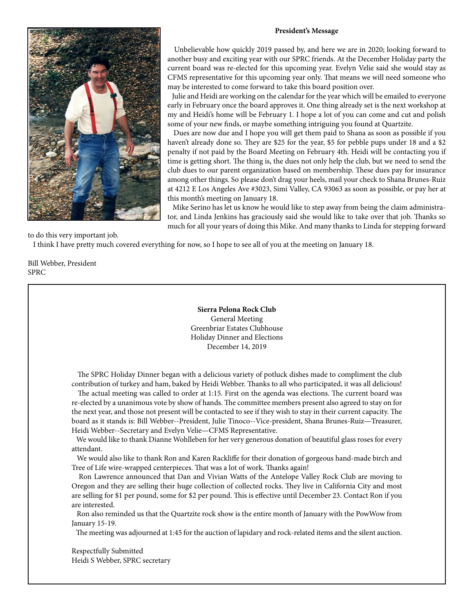#### **President's Message**



 Unbelievable how quickly 2019 passed by, and here we are in 2020; looking forward to another busy and exciting year with our SPRC friends. At the December Holiday party the current board was re-elected for this upcoming year. Evelyn Velie said she would stay as CFMS representative for this upcoming year only. That means we will need someone who may be interested to come forward to take this board position over.

 Julie and Heidi are working on the calendar for the year which will be emailed to everyone early in February once the board approves it. One thing already set is the next workshop at my and Heidi's home will be February 1. I hope a lot of you can come and cut and polish some of your new finds, or maybe something intriguing you found at Quartzite.

 Dues are now due and I hope you will get them paid to Shana as soon as possible if you haven't already done so. They are \$25 for the year, \$5 for pebble pups under 18 and a \$2 penalty if not paid by the Board Meeting on February 4th. Heidi will be contacting you if time is getting short. The thing is, the dues not only help the club, but we need to send the club dues to our parent organization based on membership. These dues pay for insurance among other things. So please don't drag your heels, mail your check to Shana Brunes-Ruiz at 4212 E Los Angeles Ave #3023, Simi Valley, CA 93063 as soon as possible, or pay her at this month's meeting on January 18.

 Mike Serino has let us know he would like to step away from being the claim administrator, and Linda Jenkins has graciously said she would like to take over that job. Thanks so much for all your years of doing this Mike. And many thanks to Linda for stepping forward

to do this very important job.

I think I have pretty much covered everything for now, so I hope to see all of you at the meeting on January 18.

Bill Webber, President SPRC



 The SPRC Holiday Dinner began with a delicious variety of potluck dishes made to compliment the club contribution of turkey and ham, baked by Heidi Webber. Thanks to all who participated, it was all delicious!

 The actual meeting was called to order at 1:15. First on the agenda was elections. The current board was re-elected by a unanimous vote by show of hands. The committee members present also agreed to stay on for the next year, and those not present will be contacted to see if they wish to stay in their current capacity. The board as it stands is: Bill Webber--President, Julie Tinoco--Vice-president, Shana Brunes-Ruiz—Treasurer, Heidi Webber--Secretary and Evelyn Velie—CFMS Representative.

 We would like to thank Dianne Wohlleben for her very generous donation of beautiful glass roses for every attendant.

 We would also like to thank Ron and Karen Rackliffe for their donation of gorgeous hand-made birch and Tree of Life wire-wrapped centerpieces. That was a lot of work. Thanks again!

 Ron Lawrence announced that Dan and Vivian Watts of the Antelope Valley Rock Club are moving to Oregon and they are selling their huge collection of collected rocks. They live in California City and most are selling for \$1 per pound, some for \$2 per pound. This is effective until December 23. Contact Ron if you are interested.

 Ron also reminded us that the Quartzite rock show is the entire month of January with the PowWow from January 15-19.

The meeting was adjourned at 1:45 for the auction of lapidary and rock-related items and the silent auction.

Respectfully Submitted Heidi S Webber, SPRC secretary